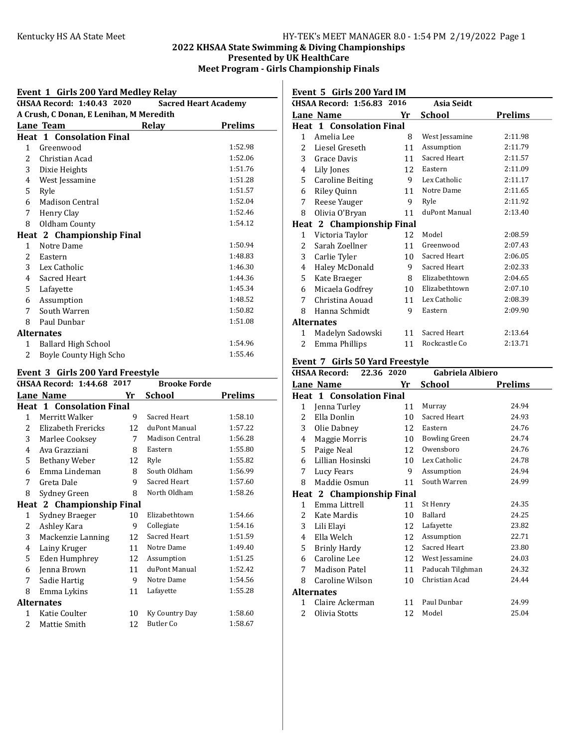# Kentucky HS AA State Meet **HY-TEK's MEET MANAGER 8.0 - 1:54 PM 2/19/2022** Page 1 2022 KHSAA State Swimming & Diving Championships Presented by UK HealthCare Meet Program - Girls Championship Finals

### Event 1 Girls 200 Yard Medley Relay KHSAA Record: 1:40.43 2020 Sacred Heart Academy A Crush, C Donan, E Lenihan, M Meredith Lane Team Relay Prelims Heat 1 Consolation Final 1 Greenwood 1:52.98 2 Christian Acad 1:52.06 3 Dixie Heights 1:51.76 4 West Jessamine 1:51.28 Ryle 1:51.57 6 Madison Central 1:52.04 7 Henry Clay 1:52.46<br>8 Oldham County 1:54.12 8 Oldham County Heat 2 Championship Final Notre Dame 1:50.94 Eastern 1:48.83 Lex Catholic 1:46.30 Sacred Heart 1:44.36 Lafayette 1:45.34 Assumption 1:48.52 South Warren 1:50.82 Paul Dunbar 1:51.08 Alternates 1 Ballard High School 1:54.96 2 Boyle County High Scho<br/>
1:55.46

#### Event 3 Girls 200 Yard Freestyle

| $\frac{1}{2}$  |                                 |    |                     |                |  |
|----------------|---------------------------------|----|---------------------|----------------|--|
|                | KHSAA Record: 1:44.68 2017      |    | <b>Brooke Forde</b> |                |  |
|                | Lane Name                       | Yr | <b>School</b>       | <b>Prelims</b> |  |
|                | <b>Heat 1 Consolation Final</b> |    |                     |                |  |
| 1              | Merritt Walker                  | 9  | Sacred Heart        | 1:58.10        |  |
| $\overline{2}$ | Elizabeth Frericks              | 12 | duPont Manual       | 1:57.22        |  |
| 3              | Marlee Cooksey                  | 7  | Madison Central     | 1:56.28        |  |
| 4              | Ava Grazziani                   | 8  | Eastern             | 1:55.80        |  |
| 5              | Bethany Weber                   | 12 | Ryle                | 1:55.82        |  |
| 6              | Emma Lindeman                   | 8  | South Oldham        | 1:56.99        |  |
| 7              | Greta Dale                      | 9  | Sacred Heart        | 1:57.60        |  |
| 8              | Sydney Green                    | 8  | North Oldham        | 1:58.26        |  |
|                | Heat 2 Championship Final       |    |                     |                |  |
| 1              | Sydney Braeger                  | 10 | Elizabethtown       | 1:54.66        |  |
| 2              | Ashley Kara                     | 9  | Collegiate          | 1:54.16        |  |
| 3              | Mackenzie Lanning               | 12 | Sacred Heart        | 1:51.59        |  |
| 4              | Lainy Kruger                    | 11 | Notre Dame          | 1:49.40        |  |
| 5              | Eden Humphrey                   | 12 | Assumption          | 1:51.25        |  |
| 6              | Jenna Brown                     | 11 | duPont Manual       | 1:52.42        |  |
| 7              | Sadie Hartig                    | 9  | Notre Dame          | 1:54.56        |  |
| 8              | Emma Lykins                     | 11 | Lafayette           | 1:55.28        |  |
|                | <b>Alternates</b>               |    |                     |                |  |
| 1              | Katie Coulter                   | 10 | Ky Country Day      | 1:58.60        |  |
| $\overline{c}$ | Mattie Smith                    | 12 | Butler Co           | 1:58.67        |  |
|                |                                 |    |                     |                |  |

### Event 5 Girls 200 Yard IM

|              | KHSAA Record: 1:56.83 2016       |    | Asia Seidt     |                |
|--------------|----------------------------------|----|----------------|----------------|
|              | Lane Name                        | Yr | <b>School</b>  | <b>Prelims</b> |
|              | <b>Heat 1 Consolation Final</b>  |    |                |                |
| $\mathbf{1}$ | Amelia Lee                       | 8  | West Jessamine | 2:11.98        |
| 2            | Liesel Greseth                   | 11 | Assumption     | 2:11.79        |
| 3            | Grace Davis                      | 11 | Sacred Heart   | 2:11.57        |
| 4            | Lily Jones                       | 12 | Eastern        | 2:11.09        |
| 5            | Caroline Beiting                 | 9  | Lex Catholic   | 2:11.17        |
| 6            | Riley Quinn                      | 11 | Notre Dame     | 2:11.65        |
| 7            | Reese Yauger                     | 9  | Ryle           | 2:11.92        |
| 8            | Olivia O'Bryan                   | 11 | duPont Manual  | 2:13.40        |
|              | <b>Heat 2 Championship Final</b> |    |                |                |
| 1            | Victoria Taylor                  | 12 | Model          | 2:08.59        |
| 2            | Sarah Zoellner                   | 11 | Greenwood      | 2:07.43        |
| 3            | Carlie Tyler                     | 10 | Sacred Heart   | 2:06.05        |
| 4            | Haley McDonald                   | 9  | Sacred Heart   | 2:02.33        |
| 5            | Kate Braeger                     | 8  | Elizabethtown  | 2:04.65        |
| 6            | Micaela Godfrey                  | 10 | Elizabethtown  | 2:07.10        |
| 7            | Christina Aouad                  | 11 | Lex Catholic   | 2:08.39        |
| 8            | Hanna Schmidt                    | 9  | Eastern        | 2:09.90        |
|              | <b>Alternates</b>                |    |                |                |
| 1            | Madelyn Sadowski                 | 11 | Sacred Heart   | 2:13.64        |
| 2            | Emma Phillips                    | 11 | Rockcastle Co  | 2:13.71        |

### Event 7 Girls 50 Yard Freestyle

|              | 22.36 2020<br><b>KHSAA Record:</b> |    | Gabriela Albiero     |         |
|--------------|------------------------------------|----|----------------------|---------|
|              | Lane Name                          | Yr | School               | Prelims |
|              | <b>Heat 1 Consolation Final</b>    |    |                      |         |
| 1            | Jenna Turley                       | 11 | Murray               | 24.94   |
| 2            | Ella Donlin                        | 10 | Sacred Heart         | 24.93   |
| 3            | Olie Dabney                        | 12 | Eastern              | 24.76   |
| 4            | Maggie Morris                      | 10 | <b>Bowling Green</b> | 24.74   |
| 5            | Paige Neal                         | 12 | Owensboro            | 24.76   |
| 6            | Lillian Hosinski                   | 10 | Lex Catholic         | 24.78   |
| 7            | Lucy Fears                         | 9  | Assumption           | 24.94   |
| 8            | Maddie Osmun                       | 11 | South Warren         | 24.99   |
|              | Heat 2 Championship Final          |    |                      |         |
| $\mathbf{1}$ | Emma Littrell                      | 11 | St Henry             | 24.35   |
| 2            | Kate Mardis                        | 10 | Ballard              | 24.25   |
| 3            | Lili Elayi                         | 12 | Lafayette            | 23.82   |
| 4            | Ella Welch                         | 12 | Assumption           | 22.71   |
| 5.           | <b>Brinly Hardy</b>                | 12 | Sacred Heart         | 23.80   |
| 6            | Caroline Lee                       | 12 | West Jessamine       | 24.03   |
| 7            | Madison Patel                      | 11 | Paducah Tilghman     | 24.32   |
| 8            | Caroline Wilson                    | 10 | Christian Acad       | 24.44   |
|              | <b>Alternates</b>                  |    |                      |         |
| 1            | Claire Ackerman                    | 11 | Paul Dunbar          | 24.99   |
| 2            | Olivia Stotts                      | 12 | Model                | 25.04   |
|              |                                    |    |                      |         |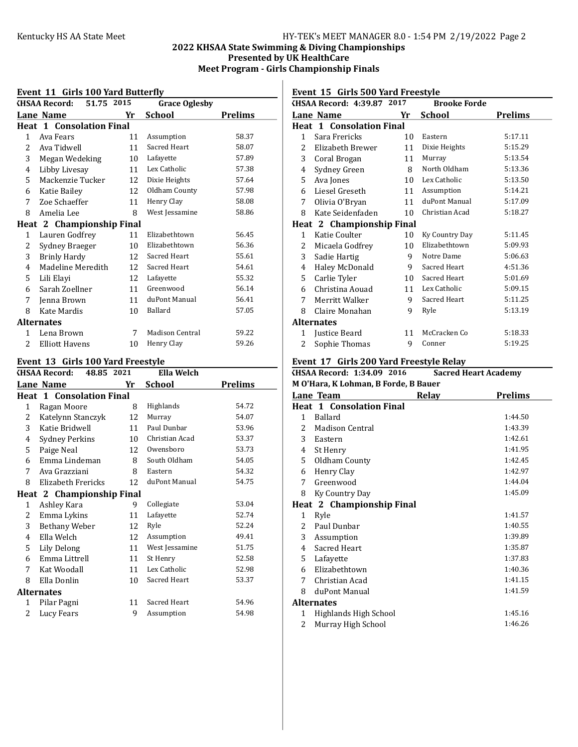# Kentucky HS AA State Meet HY-TEK's MEET MANAGER 8.0 - 1:54 PM 2/19/2022 Page 2 2022 KHSAA State Swimming & Diving Championships Presented by UK HealthCare Meet Program - Girls Championship Finals

### Event 11 Cirls 100 Vard Butterfly

| LVEIR II GINS 100 IAIG DUCCINV |                                    |    |                        |                |  |
|--------------------------------|------------------------------------|----|------------------------|----------------|--|
|                                | 51.75 2015<br><b>KHSAA Record:</b> |    | <b>Grace Oglesby</b>   |                |  |
|                                | Lane Name                          | Yr | <b>School</b>          | <b>Prelims</b> |  |
|                                | <b>Heat 1 Consolation Final</b>    |    |                        |                |  |
| $\mathbf{1}$                   | Ava Fears                          | 11 | Assumption             | 58.37          |  |
| 2                              | Ava Tidwell                        | 11 | Sacred Heart           | 58.07          |  |
| 3                              | Megan Wedeking                     | 10 | Lafayette              | 57.89          |  |
| 4                              | Libby Livesay                      | 11 | Lex Catholic           | 57.38          |  |
| 5                              | Mackenzie Tucker                   | 12 | Dixie Heights          | 57.64          |  |
| 6                              | Katie Bailey                       | 12 | Oldham County          | 57.98          |  |
| 7                              | Zoe Schaeffer                      | 11 | Henry Clay             | 58.08          |  |
| 8                              | Amelia Lee                         | 8  | West Jessamine         | 58.86          |  |
|                                | Heat 2 Championship Final          |    |                        |                |  |
| 1                              | Lauren Godfrey                     | 11 | Elizabethtown          | 56.45          |  |
| 2                              | Sydney Braeger                     | 10 | Elizabethtown          | 56.36          |  |
| 3                              | <b>Brinly Hardy</b>                | 12 | Sacred Heart           | 55.61          |  |
| 4                              | Madeline Meredith                  | 12 | Sacred Heart           | 54.61          |  |
| 5                              | Lili Elayi                         | 12 | Lafayette              | 55.32          |  |
| 6                              | Sarah Zoellner                     | 11 | Greenwood              | 56.14          |  |
| 7                              | Jenna Brown                        | 11 | duPont Manual          | 56.41          |  |
| 8                              | Kate Mardis                        | 10 | Ballard                | 57.05          |  |
|                                | <b>Alternates</b>                  |    |                        |                |  |
| 1                              | Lena Brown                         | 7  | <b>Madison Central</b> | 59.22          |  |
| 2                              | <b>Elliott Havens</b>              | 10 | Henry Clay             | 59.26          |  |

### Event 13 Girls 100 Yard Freestyle

|   | Livent 19 anis 100 iaiu i i cestite |    |                |                |
|---|-------------------------------------|----|----------------|----------------|
|   | 48.85 2021<br>KHSAA Record:         |    | Ella Welch     |                |
|   | Lane Name                           | Yr | School         | <b>Prelims</b> |
|   | <b>Heat 1 Consolation Final</b>     |    |                |                |
| 1 | Ragan Moore                         | 8  | Highlands      | 54.72          |
| 2 | Katelynn Stanczyk                   | 12 | Murray         | 54.07          |
| 3 | Katie Bridwell                      | 11 | Paul Dunbar    | 53.96          |
| 4 | Sydney Perkins                      | 10 | Christian Acad | 53.37          |
| 5 | Paige Neal                          | 12 | Owensboro      | 53.73          |
| 6 | Emma Lindeman                       | 8  | South Oldham   | 54.05          |
| 7 | Ava Grazziani                       | 8  | Eastern        | 54.32          |
| 8 | Elizabeth Frericks                  | 12 | duPont Manual  | 54.75          |
|   | Heat 2 Championship Final           |    |                |                |
| 1 | Ashley Kara                         | 9  | Collegiate     | 53.04          |
| 2 | Emma Lykins                         | 11 | Lafayette      | 52.74          |
| 3 | Bethany Weber                       | 12 | Ryle           | 52.24          |
| 4 | Ella Welch                          | 12 | Assumption     | 49.41          |
| 5 | Lily Delong                         | 11 | West Jessamine | 51.75          |
| 6 | Emma Littrell                       | 11 | St Henry       | 52.58          |
| 7 | Kat Woodall                         | 11 | Lex Catholic   | 52.98          |
| 8 | Ella Donlin                         | 10 | Sacred Heart   | 53.37          |
|   | <b>Alternates</b>                   |    |                |                |
| 1 | Pilar Pagni                         | 11 | Sacred Heart   | 54.96          |
| 2 | Lucy Fears                          | 9  | Assumption     | 54.98          |
|   |                                     |    |                |                |

# Event 15 Girls 500 Yard Freestyle

|              | KHSAA Record: 4:39.87 2017      |    | <b>Brooke Forde</b> |                |
|--------------|---------------------------------|----|---------------------|----------------|
|              | Lane Name                       | Yr | <b>School</b>       | <b>Prelims</b> |
|              | <b>Heat 1 Consolation Final</b> |    |                     |                |
| $\mathbf{1}$ | Sara Frericks                   | 10 | Eastern             | 5:17.11        |
| 2            | Elizabeth Brewer                | 11 | Dixie Heights       | 5:15.29        |
| 3            | Coral Brogan                    | 11 | Murray              | 5:13.54        |
| 4            | Sydney Green                    | 8  | North Oldham        | 5:13.36        |
| 5            | Ava Jones                       | 10 | Lex Catholic        | 5:13.50        |
| 6            | Liesel Greseth                  | 11 | Assumption          | 5:14.21        |
| 7            | Olivia O'Bryan                  | 11 | duPont Manual       | 5:17.09        |
| 8            | Kate Seidenfaden                | 10 | Christian Acad      | 5:18.27        |
|              | Heat 2 Championship Final       |    |                     |                |
| $\mathbf{1}$ | Katie Coulter                   | 10 | Ky Country Day      | 5:11.45        |
| 2            | Micaela Godfrey                 | 10 | Elizabethtown       | 5:09.93        |
| 3            | Sadie Hartig                    | 9  | Notre Dame          | 5:06.63        |
| 4            | Haley McDonald                  | 9  | Sacred Heart        | 4:51.36        |
| 5            | Carlie Tyler                    | 10 | Sacred Heart        | 5:01.69        |
| 6            | Christina Aouad                 | 11 | Lex Catholic        | 5:09.15        |
| 7            | Merritt Walker                  | 9  | Sacred Heart        | 5:11.25        |
| 8            | Claire Monahan                  | 9  | Ryle                | 5:13.19        |
|              | <b>Alternates</b>               |    |                     |                |
| 1            | Justice Beard                   | 11 | McCracken Co        | 5:18.33        |
| 2            | Sophie Thomas                   | 9  | Conner              | 5:19.25        |

#### Event 17 Girls 200 Yard Freestyle Relay<br>
GHSAA Record: 1:34.09 2016 Sacred Heart Academy  $KHSAA$  Record:  $1:34.09$  2016

| 11344 RECORD. 1.37.07 = 010<br>Jaci cu fical critaticiily |                                 |              |                |  |  |
|-----------------------------------------------------------|---------------------------------|--------------|----------------|--|--|
| M O'Hara, K Lohman, B Forde, B Bauer                      |                                 |              |                |  |  |
|                                                           | Lane Team                       | <b>Relay</b> | <b>Prelims</b> |  |  |
|                                                           | <b>Heat 1 Consolation Final</b> |              |                |  |  |
| $\mathbf{1}$                                              | Ballard                         |              | 1:44.50        |  |  |
| $2^{\circ}$                                               | Madison Central                 |              | 1:43.39        |  |  |
| 3                                                         | Eastern                         |              | 1:42.61        |  |  |
| 4                                                         | St Henry                        |              | 1:41.95        |  |  |
| 5                                                         | Oldham County                   |              | 1:42.45        |  |  |
| 6                                                         | Henry Clay                      |              | 1:42.97        |  |  |
| 7                                                         | Greenwood                       |              | 1:44.04        |  |  |
| 8                                                         | Ky Country Day                  |              | 1:45.09        |  |  |
|                                                           | Heat 2 Championship Final       |              |                |  |  |
| 1                                                         | Ryle                            |              | 1:41.57        |  |  |
| $2^{\circ}$                                               | Paul Dunbar                     |              | 1:40.55        |  |  |
| 3                                                         | Assumption                      |              | 1:39.89        |  |  |
| 4                                                         | Sacred Heart                    |              | 1:35.87        |  |  |
| 5                                                         | Lafayette                       |              | 1:37.83        |  |  |
| 6                                                         | Elizabethtown                   |              | 1:40.36        |  |  |
| 7                                                         | Christian Acad                  |              | 1:41.15        |  |  |
| 8                                                         | duPont Manual                   |              | 1:41.59        |  |  |
|                                                           | <b>Alternates</b>               |              |                |  |  |
| 1                                                         | Highlands High School           |              | 1:45.16        |  |  |
| 2                                                         | Murray High School              |              | 1:46.26        |  |  |
|                                                           |                                 |              |                |  |  |